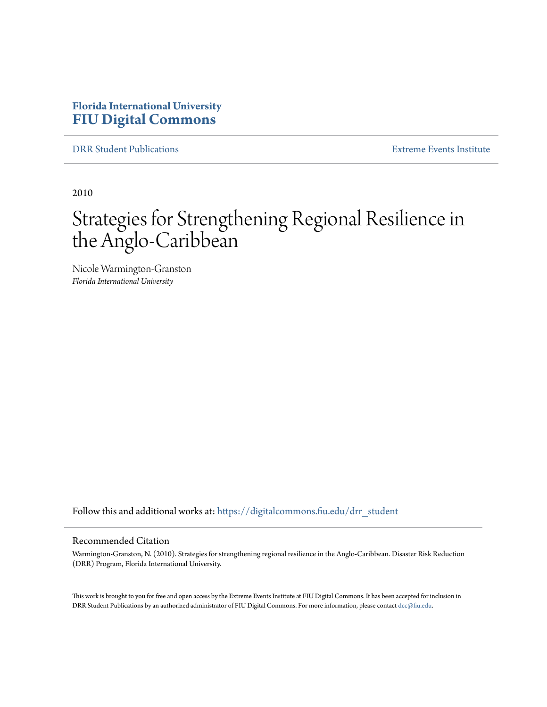### **Florida International University [FIU Digital Commons](https://digitalcommons.fiu.edu?utm_source=digitalcommons.fiu.edu%2Fdrr_student%2F1&utm_medium=PDF&utm_campaign=PDFCoverPages)**

[DRR Student Publications](https://digitalcommons.fiu.edu/drr_student?utm_source=digitalcommons.fiu.edu%2Fdrr_student%2F1&utm_medium=PDF&utm_campaign=PDFCoverPages) [Extreme Events Institute](https://digitalcommons.fiu.edu/drr?utm_source=digitalcommons.fiu.edu%2Fdrr_student%2F1&utm_medium=PDF&utm_campaign=PDFCoverPages)

2010

# Strategies for Strengthening Regional Resilience in the Anglo-Caribbean

Nicole Warmington-Granston *Florida International University*

Follow this and additional works at: [https://digitalcommons.fiu.edu/drr\\_student](https://digitalcommons.fiu.edu/drr_student?utm_source=digitalcommons.fiu.edu%2Fdrr_student%2F1&utm_medium=PDF&utm_campaign=PDFCoverPages)

#### Recommended Citation

Warmington-Granston, N. (2010). Strategies for strengthening regional resilience in the Anglo-Caribbean. Disaster Risk Reduction (DRR) Program, Florida International University.

This work is brought to you for free and open access by the Extreme Events Institute at FIU Digital Commons. It has been accepted for inclusion in DRR Student Publications by an authorized administrator of FIU Digital Commons. For more information, please contact [dcc@fiu.edu](mailto:dcc@fiu.edu).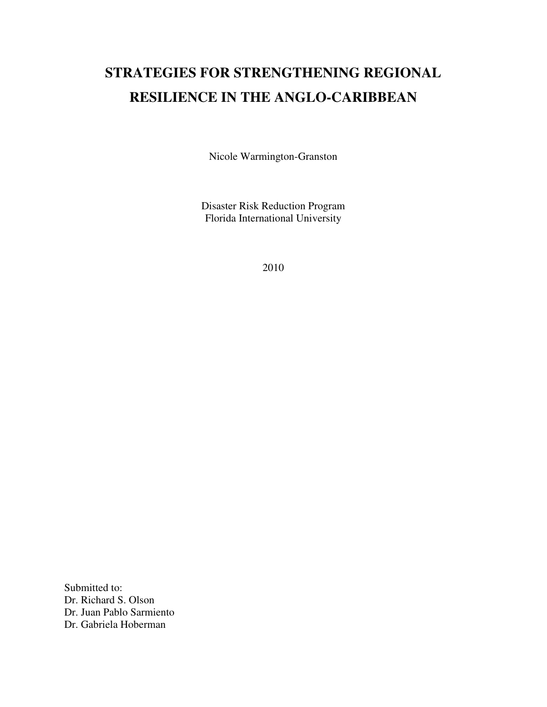## **STRATEGIES FOR STRENGTHENING REGIONAL RESILIENCE IN THE ANGLO-CARIBBEAN**

Nicole Warmington-Granston

Disaster Risk Reduction Program Florida International University

2010

Submitted to: Dr. Richard S. Olson Dr. Juan Pablo Sarmiento Dr. Gabriela Hoberman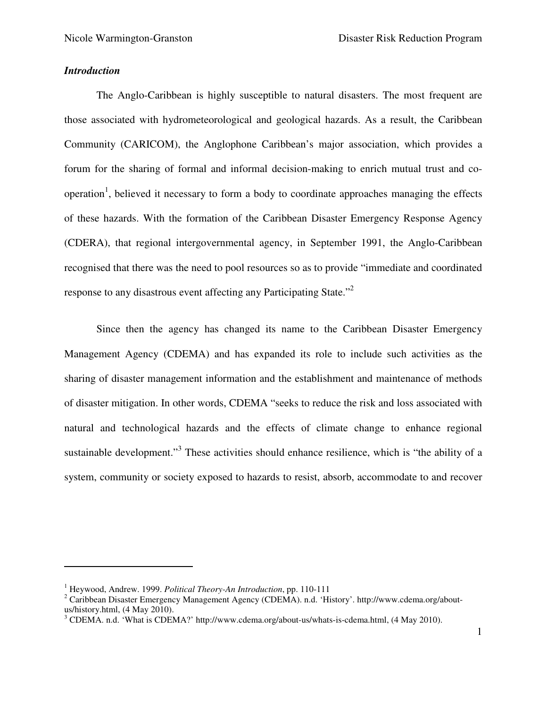#### *Introduction*

 $\overline{a}$ 

The Anglo-Caribbean is highly susceptible to natural disasters. The most frequent are those associated with hydrometeorological and geological hazards. As a result, the Caribbean Community (CARICOM), the Anglophone Caribbean's major association, which provides a forum for the sharing of formal and informal decision-making to enrich mutual trust and cooperation<sup>1</sup>, believed it necessary to form a body to coordinate approaches managing the effects of these hazards. With the formation of the Caribbean Disaster Emergency Response Agency (CDERA), that regional intergovernmental agency, in September 1991, the Anglo-Caribbean recognised that there was the need to pool resources so as to provide "immediate and coordinated response to any disastrous event affecting any Participating State."<sup>2</sup>

Since then the agency has changed its name to the Caribbean Disaster Emergency Management Agency (CDEMA) and has expanded its role to include such activities as the sharing of disaster management information and the establishment and maintenance of methods of disaster mitigation. In other words, CDEMA "seeks to reduce the risk and loss associated with natural and technological hazards and the effects of climate change to enhance regional sustainable development."<sup>3</sup> These activities should enhance resilience, which is "the ability of a system, community or society exposed to hazards to resist, absorb, accommodate to and recover

<sup>1</sup> Heywood, Andrew. 1999. *Political Theory-An Introduction*, pp. 110-111

<sup>&</sup>lt;sup>2</sup> Caribbean Disaster Emergency Management Agency (CDEMA). n.d. 'History'. http://www.cdema.org/aboutus/history.html, (4 May 2010).

<sup>&</sup>lt;sup>3</sup> CDEMA. n.d. 'What is CDEMA?' http://www.cdema.org/about-us/whats-is-cdema.html, (4 May 2010).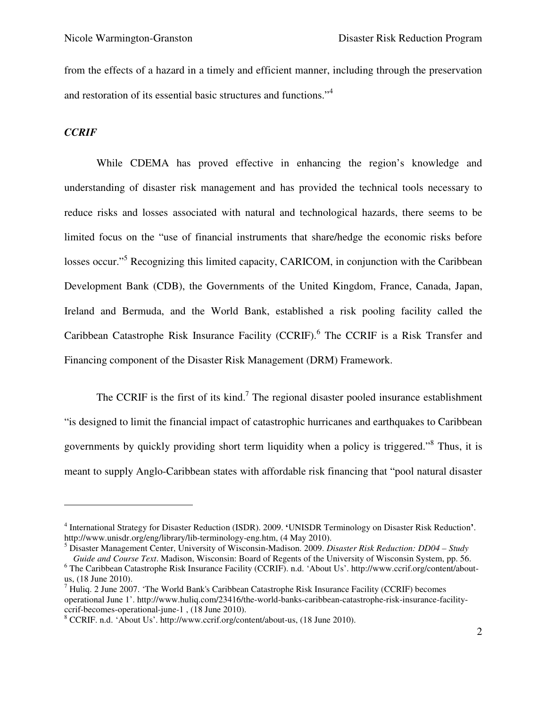from the effects of a hazard in a timely and efficient manner, including through the preservation and restoration of its essential basic structures and functions."<sup>4</sup>

#### *CCRIF*

 $\overline{a}$ 

While CDEMA has proved effective in enhancing the region's knowledge and understanding of disaster risk management and has provided the technical tools necessary to reduce risks and losses associated with natural and technological hazards, there seems to be limited focus on the "use of financial instruments that share/hedge the economic risks before losses occur."<sup>5</sup> Recognizing this limited capacity, CARICOM, in conjunction with the Caribbean Development Bank (CDB), the Governments of the United Kingdom, France, Canada, Japan, Ireland and Bermuda, and the World Bank, established a risk pooling facility called the Caribbean Catastrophe Risk Insurance Facility (CCRIF).<sup>6</sup> The CCRIF is a Risk Transfer and Financing component of the Disaster Risk Management (DRM) Framework.

The CCRIF is the first of its kind.<sup>7</sup> The regional disaster pooled insurance establishment "is designed to limit the financial impact of catastrophic hurricanes and earthquakes to Caribbean governments by quickly providing short term liquidity when a policy is triggered."<sup>8</sup> Thus, it is meant to supply Anglo-Caribbean states with affordable risk financing that "pool natural disaster

5 Disaster Management Center, University of Wisconsin-Madison. 2009. *Disaster Risk Reduction: DD04 – Study* 

<sup>4</sup> International Strategy for Disaster Reduction (ISDR). 2009. **'**UNISDR Terminology on Disaster Risk Reduction**'**. http://www.unisdr.org/eng/library/lib-terminology-eng.htm, (4 May 2010).

*Guide and Course Text*. Madison, Wisconsin: Board of Regents of the University of Wisconsin System, pp. 56. <sup>6</sup> The Caribbean Catastrophe Risk Insurance Facility (CCRIF). n.d. 'About Us'. http://www.ccrif.org/content/aboutus, (18 June 2010).

 $^7$  Huliq. 2 June 2007. 'The World Bank's Caribbean Catastrophe Risk Insurance Facility (CCRIF) becomes operational June 1'. http://www.huliq.com/23416/the-world-banks-caribbean-catastrophe-risk-insurance-facilityccrif-becomes-operational-june-1 , (18 June 2010).

<sup>&</sup>lt;sup>8</sup> CCRIF. n.d. 'About Us'. http://www.ccrif.org/content/about-us, (18 June 2010).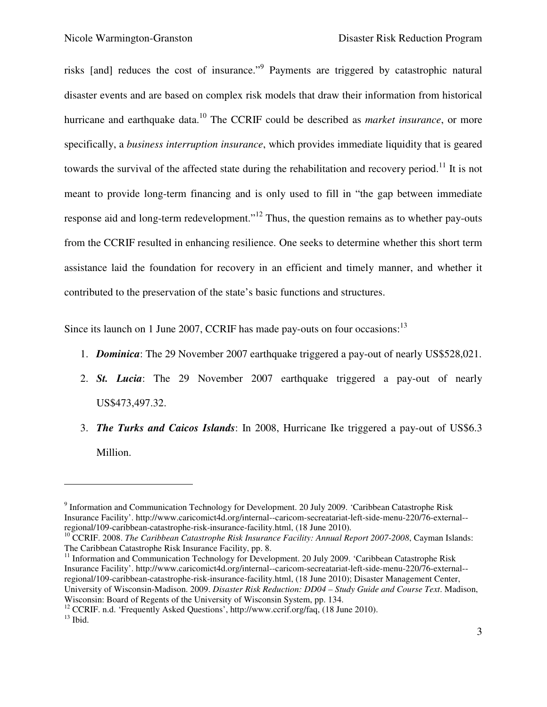risks [and] reduces the cost of insurance."<sup>9</sup> Payments are triggered by catastrophic natural disaster events and are based on complex risk models that draw their information from historical hurricane and earthquake data.<sup>10</sup> The CCRIF could be described as *market insurance*, or more specifically, a *business interruption insurance*, which provides immediate liquidity that is geared towards the survival of the affected state during the rehabilitation and recovery period.<sup>11</sup> It is not meant to provide long-term financing and is only used to fill in "the gap between immediate response aid and long-term redevelopment."<sup>12</sup> Thus, the question remains as to whether pay-outs from the CCRIF resulted in enhancing resilience. One seeks to determine whether this short term assistance laid the foundation for recovery in an efficient and timely manner, and whether it contributed to the preservation of the state's basic functions and structures.

Since its launch on 1 June 2007, CCRIF has made pay-outs on four occasions:<sup>13</sup>

- 1. *Dominica*: The 29 November 2007 earthquake triggered a pay-out of nearly US\$528,021.
- 2. *St. Lucia*: The 29 November 2007 earthquake triggered a pay-out of nearly US\$473,497.32.
- 3. *The Turks and Caicos Islands*: In 2008, Hurricane Ike triggered a pay-out of US\$6.3 Million.

<sup>11</sup> Information and Communication Technology for Development. 20 July 2009. 'Caribbean Catastrophe Risk Insurance Facility'. http://www.caricomict4d.org/internal--caricom-secreatariat-left-side-menu-220/76-external- regional/109-caribbean-catastrophe-risk-insurance-facility.html, (18 June 2010); Disaster Management Center, University of Wisconsin-Madison. 2009. *Disaster Risk Reduction: DD04 – Study Guide and Course Text*. Madison, Wisconsin: Board of Regents of the University of Wisconsin System, pp. 134.

<sup>12</sup> CCRIF. n.d. 'Frequently Asked Questions', http://www.ccrif.org/faq, (18 June 2010).

<u>.</u>

<sup>&</sup>lt;sup>9</sup> Information and Communication Technology for Development. 20 July 2009. 'Caribbean Catastrophe Risk Insurance Facility'. http://www.caricomict4d.org/internal--caricom-secreatariat-left-side-menu-220/76-external- regional/109-caribbean-catastrophe-risk-insurance-facility.html, (18 June 2010).

<sup>10</sup> CCRIF. 2008. *The Caribbean Catastrophe Risk Insurance Facility: Annual Report 2007-2008*, Cayman Islands: The Caribbean Catastrophe Risk Insurance Facility, pp. 8.

 $13$  Ibid.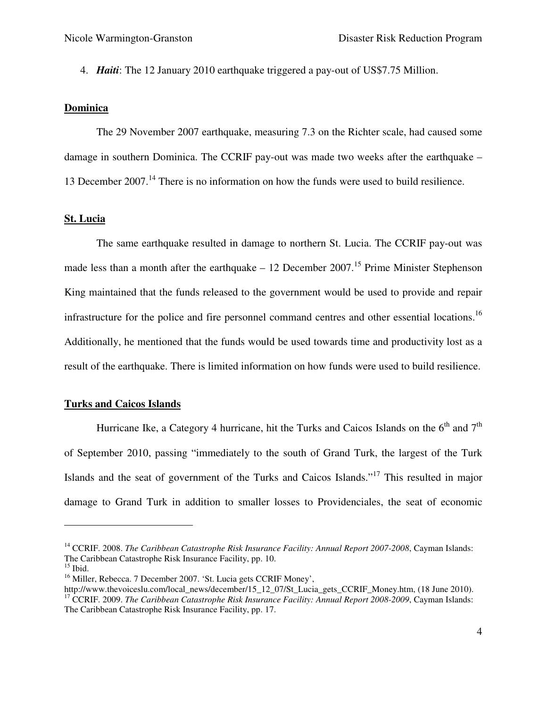4. *Haiti*: The 12 January 2010 earthquake triggered a pay-out of US\$7.75 Million.

#### **Dominica**

The 29 November 2007 earthquake, measuring 7.3 on the Richter scale, had caused some damage in southern Dominica. The CCRIF pay-out was made two weeks after the earthquake – 13 December 2007.<sup>14</sup> There is no information on how the funds were used to build resilience.

#### **St. Lucia**

The same earthquake resulted in damage to northern St. Lucia. The CCRIF pay-out was made less than a month after the earthquake – 12 December 2007.<sup>15</sup> Prime Minister Stephenson King maintained that the funds released to the government would be used to provide and repair infrastructure for the police and fire personnel command centres and other essential locations.<sup>16</sup> Additionally, he mentioned that the funds would be used towards time and productivity lost as a result of the earthquake. There is limited information on how funds were used to build resilience.

#### **Turks and Caicos Islands**

Hurricane Ike, a Category 4 hurricane, hit the Turks and Caicos Islands on the  $6<sup>th</sup>$  and  $7<sup>th</sup>$ of September 2010, passing "immediately to the south of Grand Turk, the largest of the Turk Islands and the seat of government of the Turks and Caicos Islands."<sup>17</sup> This resulted in major damage to Grand Turk in addition to smaller losses to Providenciales, the seat of economic

<sup>&</sup>lt;sup>14</sup> CCRIF. 2008. *The Caribbean Catastrophe Risk Insurance Facility: Annual Report 2007-2008*, Cayman Islands: The Caribbean Catastrophe Risk Insurance Facility, pp. 10.

 $15$  Ibid.

<sup>&</sup>lt;sup>16</sup> Miller, Rebecca. 7 December 2007. 'St. Lucia gets CCRIF Money',

http://www.thevoiceslu.com/local\_news/december/15\_12\_07/St\_Lucia\_gets\_CCRIF\_Money.htm, (18 June 2010). <sup>17</sup> CCRIF. 2009. *The Caribbean Catastrophe Risk Insurance Facility: Annual Report 2008-2009*, Cayman Islands: The Caribbean Catastrophe Risk Insurance Facility, pp. 17.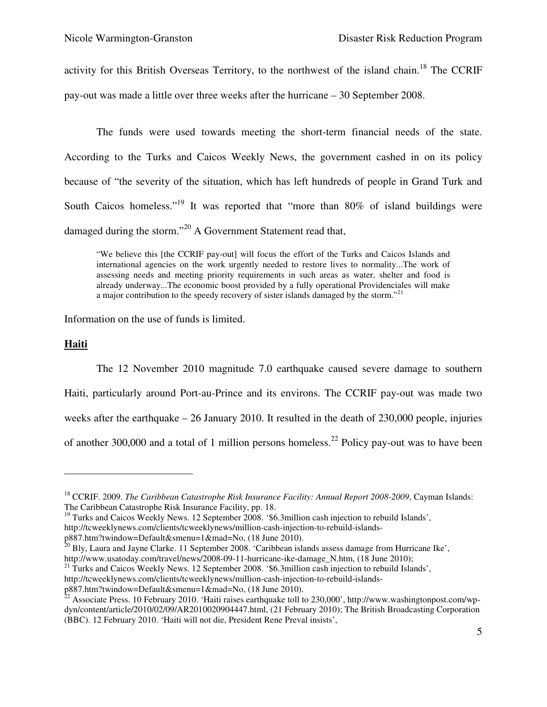activity for this British Overseas Territory, to the northwest of the island chain.<sup>18</sup> The CCRIF pay-out was made a little over three weeks after the hurricane – 30 September 2008.

The funds were used towards meeting the short-term financial needs of the state. According to the Turks and Caicos Weekly News, the government cashed in on its policy because of "the severity of the situation, which has left hundreds of people in Grand Turk and South Caicos homeless."<sup>19</sup> It was reported that "more than 80% of island buildings were damaged during the storm."<sup>20</sup> A Government Statement read that,

"We believe this [the CCRIF pay-out] will focus the effort of the Turks and Caicos Islands and international agencies on the work urgently needed to restore lives to normality...The work of assessing needs and meeting priority requirements in such areas as water, shelter and food is already underway...The economic boost provided by a fully operational Providenciales will make a major contribution to the speedy recovery of sister islands damaged by the storm."<sup>21</sup>

Information on the use of funds is limited.

#### **Haiti**

 $\overline{a}$ 

The 12 November 2010 magnitude 7.0 earthquake caused severe damage to southern Haiti, particularly around Port-au-Prince and its environs. The CCRIF pay-out was made two weeks after the earthquake – 26 January 2010. It resulted in the death of 230,000 people, injuries of another 300,000 and a total of 1 million persons homeless.<sup>22</sup> Policy pay-out was to have been

 $^{20}$  Bly, Laura and Jayne Clarke. 11 September 2008. 'Caribbean islands assess damage from Hurricane Ike', http://www.usatoday.com/travel/news/2008-09-11-hurricane-ike-damage\_N.htm, (18 June 2010);

<sup>21</sup> Turks and Caicos Weekly News. 12 September 2008. '\$6.3million cash injection to rebuild Islands',

<sup>&</sup>lt;sup>18</sup> CCRIF. 2009. *The Caribbean Catastrophe Risk Insurance Facility: Annual Report 2008-2009*, Cayman Islands: The Caribbean Catastrophe Risk Insurance Facility, pp. 18.

 $19$  Turks and Caicos Weekly News. 12 September 2008. '\$6.3million cash injection to rebuild Islands',

http://tcweeklynews.com/clients/tcweeklynews/million-cash-injection-to-rebuild-islands-

p887.htm?twindow=Default&smenu=1&mad=No, (18 June 2010).

http://tcweeklynews.com/clients/tcweeklynews/million-cash-injection-to-rebuild-islands-

p887.htm?twindow=Default&smenu=1&mad=No, (18 June 2010).

 $^{22}$  Associate Press. 10 February 2010. 'Haiti raises earthquake toll to 230,000', http://www.washingtonpost.com/wpdyn/content/article/2010/02/09/AR2010020904447.html, (21 February 2010); The British Broadcasting Corporation (BBC). 12 February 2010. 'Haiti will not die, President Rene Preval insists',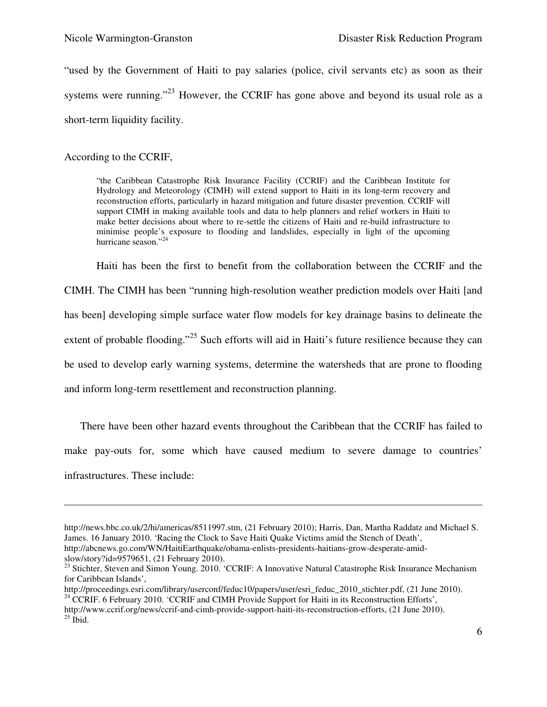"used by the Government of Haiti to pay salaries (police, civil servants etc) as soon as their systems were running."<sup>23</sup> However, the CCRIF has gone above and beyond its usual role as a short-term liquidity facility.

According to the CCRIF,

"the Caribbean Catastrophe Risk Insurance Facility (CCRIF) and the Caribbean Institute for Hydrology and Meteorology (CIMH) will extend support to Haiti in its long-term recovery and reconstruction efforts, particularly in hazard mitigation and future disaster prevention. CCRIF will support CIMH in making available tools and data to help planners and relief workers in Haiti to make better decisions about where to re-settle the citizens of Haiti and re-build infrastructure to minimise people's exposure to flooding and landslides, especially in light of the upcoming hurricane season."<sup>24</sup>

Haiti has been the first to benefit from the collaboration between the CCRIF and the

CIMH. The CIMH has been "running high-resolution weather prediction models over Haiti [and has been] developing simple surface water flow models for key drainage basins to delineate the extent of probable flooding."<sup>25</sup> Such efforts will aid in Haiti's future resilience because they can be used to develop early warning systems, determine the watersheds that are prone to flooding

and inform long-term resettlement and reconstruction planning.

There have been other hazard events throughout the Caribbean that the CCRIF has failed to make pay-outs for, some which have caused medium to severe damage to countries' infrastructures. These include:

http://news.bbc.co.uk/2/hi/americas/8511997.stm, (21 February 2010); Harris, Dan, Martha Raddatz and Michael S. James. 16 January 2010. 'Racing the Clock to Save Haiti Quake Victims amid the Stench of Death', http://abcnews.go.com/WN/HaitiEarthquake/obama-enlists-presidents-haitians-grow-desperate-amid-

slow/story?id=9579651, (21 February 2010).

<sup>&</sup>lt;sup>23</sup> Stichter, Steven and Simon Young. 2010. 'CCRIF: A Innovative Natural Catastrophe Risk Insurance Mechanism for Caribbean Islands',

http://proceedings.esri.com/library/userconf/feduc10/papers/user/esri\_feduc\_2010\_stichter.pdf, (21 June 2010). <sup>24</sup> CCRIF. 6 February 2010. 'CCRIF and CIMH Provide Support for Haiti in its Reconstruction Efforts',

http://www.ccrif.org/news/ccrif-and-cimh-provide-support-haiti-its-reconstruction-efforts, (21 June 2010).  $25$  Ibid.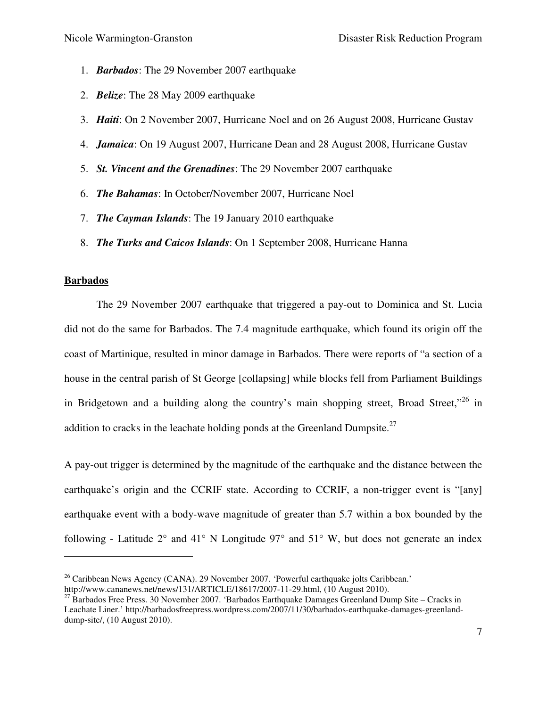- 1. *Barbados*: The 29 November 2007 earthquake
- 2. *Belize*: The 28 May 2009 earthquake
- 3. *Haiti*: On 2 November 2007, Hurricane Noel and on 26 August 2008, Hurricane Gustav
- 4. *Jamaica*: On 19 August 2007, Hurricane Dean and 28 August 2008, Hurricane Gustav
- 5. *St. Vincent and the Grenadines*: The 29 November 2007 earthquake
- 6. *The Bahamas*: In October/November 2007, Hurricane Noel
- 7. *The Cayman Islands*: The 19 January 2010 earthquake
- 8. *The Turks and Caicos Islands*: On 1 September 2008, Hurricane Hanna

#### **Barbados**

 $\overline{a}$ 

The 29 November 2007 earthquake that triggered a pay-out to Dominica and St. Lucia did not do the same for Barbados. The 7.4 magnitude earthquake, which found its origin off the coast of Martinique, resulted in minor damage in Barbados. There were reports of "a section of a house in the central parish of St George [collapsing] while blocks fell from Parliament Buildings in Bridgetown and a building along the country's main shopping street, Broad Street."<sup>26</sup> in addition to cracks in the leachate holding ponds at the Greenland Dumpsite.<sup>27</sup>

A pay-out trigger is determined by the magnitude of the earthquake and the distance between the earthquake's origin and the CCRIF state. According to CCRIF, a non-trigger event is "[any] earthquake event with a body-wave magnitude of greater than 5.7 within a box bounded by the following - Latitude  $2^{\circ}$  and  $41^{\circ}$  N Longitude  $97^{\circ}$  and  $51^{\circ}$  W, but does not generate an index

<sup>&</sup>lt;sup>26</sup> Caribbean News Agency (CANA). 29 November 2007. 'Powerful earthquake jolts Caribbean.'

http://www.cananews.net/news/131/ARTICLE/18617/2007-11-29.html, (10 August 2010).

 $^{27}$  Barbados Free Press. 30 November 2007. 'Barbados Earthquake Damages Greenland Dump Site – Cracks in Leachate Liner.' http://barbadosfreepress.wordpress.com/2007/11/30/barbados-earthquake-damages-greenlanddump-site/, (10 August 2010).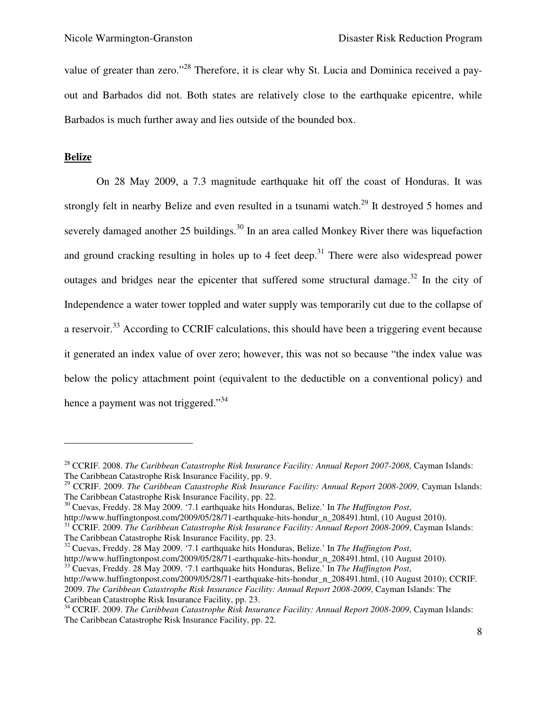value of greater than zero."<sup>28</sup> Therefore, it is clear why St. Lucia and Dominica received a payout and Barbados did not. Both states are relatively close to the earthquake epicentre, while Barbados is much further away and lies outside of the bounded box.

#### **Belize**

 $\overline{a}$ 

On 28 May 2009, a 7.3 magnitude earthquake hit off the coast of Honduras. It was strongly felt in nearby Belize and even resulted in a tsunami watch.<sup>29</sup> It destroyed 5 homes and severely damaged another 25 buildings.<sup>30</sup> In an area called Monkey River there was liquefaction and ground cracking resulting in holes up to 4 feet deep.<sup>31</sup> There were also widespread power outages and bridges near the epicenter that suffered some structural damage.<sup>32</sup> In the city of Independence a water tower toppled and water supply was temporarily cut due to the collapse of a reservoir.<sup>33</sup> According to CCRIF calculations, this should have been a triggering event because it generated an index value of over zero; however, this was not so because "the index value was below the policy attachment point (equivalent to the deductible on a conventional policy) and hence a payment was not triggered."<sup>34</sup>

<sup>32</sup> Cuevas, Freddy. 28 May 2009. '7.1 earthquake hits Honduras, Belize.' In *The Huffington Post*, http://www.huffingtonpost.com/2009/05/28/71-earthquake-hits-hondur\_n\_208491.html, (10 August 2010). <sup>33</sup> Cuevas, Freddy. 28 May 2009. '7.1 earthquake hits Honduras, Belize.' In *The Huffington Post*, http://www.huffingtonpost.com/2009/05/28/71-earthquake-hits-hondur\_n\_208491.html, (10 August 2010); CCRIF. 2009. *The Caribbean Catastrophe Risk Insurance Facility: Annual Report 2008-2009*, Cayman Islands: The Caribbean Catastrophe Risk Insurance Facility, pp. 23.

<sup>28</sup> CCRIF. 2008. *The Caribbean Catastrophe Risk Insurance Facility: Annual Report 2007-2008*, Cayman Islands: The Caribbean Catastrophe Risk Insurance Facility, pp. 9.

<sup>29</sup> CCRIF. 2009. *The Caribbean Catastrophe Risk Insurance Facility: Annual Report 2008-2009*, Cayman Islands: The Caribbean Catastrophe Risk Insurance Facility, pp. 22.

<sup>30</sup> Cuevas, Freddy. 28 May 2009. '7.1 earthquake hits Honduras, Belize.' In *The Huffington Post*,

http://www.huffingtonpost.com/2009/05/28/71-earthquake-hits-hondur\_n\_208491.html, (10 August 2010).

<sup>31</sup> CCRIF. 2009. *The Caribbean Catastrophe Risk Insurance Facility: Annual Report 2008-2009*, Cayman Islands: The Caribbean Catastrophe Risk Insurance Facility, pp. 23.

<sup>&</sup>lt;sup>34</sup> CCRIF. 2009. *The Caribbean Catastrophe Risk Insurance Facility: Annual Report 2008-2009*, Cayman Islands: The Caribbean Catastrophe Risk Insurance Facility, pp. 22.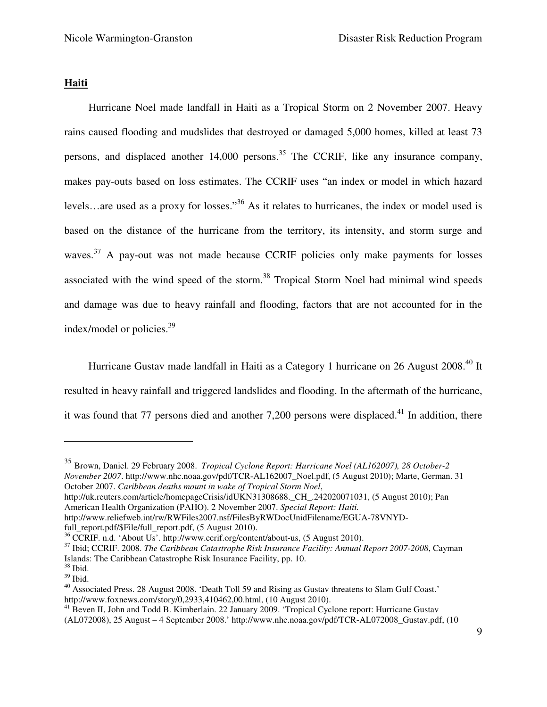#### **Haiti**

 Hurricane Noel made landfall in Haiti as a Tropical Storm on 2 November 2007. Heavy rains caused flooding and mudslides that destroyed or damaged 5,000 homes, killed at least 73 persons, and displaced another  $14,000$  persons.<sup>35</sup> The CCRIF, like any insurance company, makes pay-outs based on loss estimates. The CCRIF uses "an index or model in which hazard levels…are used as a proxy for losses."<sup>36</sup> As it relates to hurricanes, the index or model used is based on the distance of the hurricane from the territory, its intensity, and storm surge and waves.<sup>37</sup> A pay-out was not made because CCRIF policies only make payments for losses associated with the wind speed of the storm.<sup>38</sup> Tropical Storm Noel had minimal wind speeds and damage was due to heavy rainfall and flooding, factors that are not accounted for in the index/model or policies.<sup>39</sup>

 Hurricane Gustav made landfall in Haiti as a Category 1 hurricane on 26 August 2008.<sup>40</sup> It resulted in heavy rainfall and triggered landslides and flooding. In the aftermath of the hurricane, it was found that 77 persons died and another 7,200 persons were displaced.<sup>41</sup> In addition, there

<sup>35</sup> Brown, Daniel. 29 February 2008. *Tropical Cyclone Report: Hurricane Noel (AL162007), 28 October-2 November 2007*. http://www.nhc.noaa.gov/pdf/TCR-AL162007\_Noel.pdf, (5 August 2010); Marte, German. 31 October 2007. *Caribbean deaths mount in wake of Tropical Storm Noel*,

http://uk.reuters.com/article/homepageCrisis/idUKN31308688.\_CH\_.242020071031, (5 August 2010); Pan American Health Organization (PAHO). 2 November 2007. *Special Report: Haiti.*

http://www.reliefweb.int/rw/RWFiles2007.nsf/FilesByRWDocUnidFilename/EGUA-78VNYDfull\_report.pdf/\$File/full\_report.pdf, (5 August 2010).

<sup>37</sup> Ibid; CCRIF. 2008. *The Caribbean Catastrophe Risk Insurance Facility: Annual Report 2007-2008*, Cayman Islands: The Caribbean Catastrophe Risk Insurance Facility, pp. 10.

<sup>36</sup> CCRIF. n.d. 'About Us'. http://www.ccrif.org/content/about-us, (5 August 2010).

<sup>38</sup> Ibid. <sup>39</sup> Ibid.

 $^{40}$  Associated Press. 28 August 2008. 'Death Toll 59 and Rising as Gustav threatens to Slam Gulf Coast.' http://www.foxnews.com/story/0,2933,410462,00.html, (10 August 2010).

<sup>&</sup>lt;sup>41</sup> Beven II, John and Todd B. Kimberlain. 22 January 2009. 'Tropical Cyclone report: Hurricane Gustav (AL072008), 25 August – 4 September 2008.' http://www.nhc.noaa.gov/pdf/TCR-AL072008\_Gustav.pdf, (10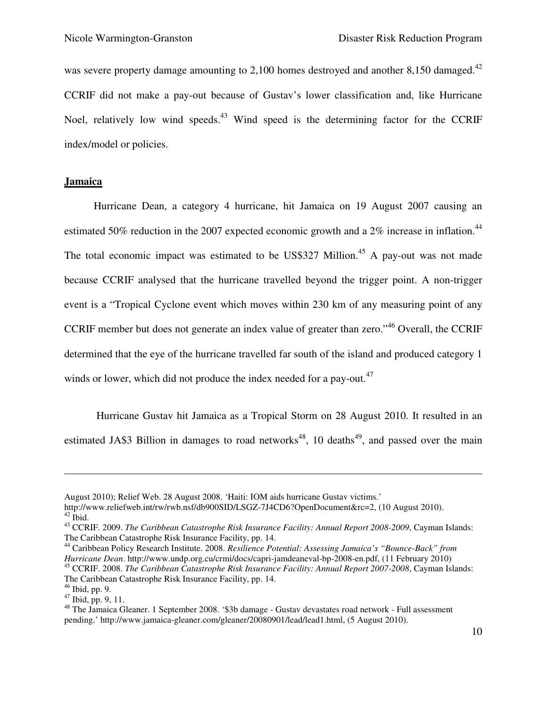was severe property damage amounting to 2,100 homes destroyed and another 8,150 damaged.<sup>42</sup> CCRIF did not make a pay-out because of Gustav's lower classification and, like Hurricane Noel, relatively low wind speeds.<sup>43</sup> Wind speed is the determining factor for the CCRIF index/model or policies.

#### **Jamaica**

 Hurricane Dean, a category 4 hurricane, hit Jamaica on 19 August 2007 causing an estimated 50% reduction in the 2007 expected economic growth and a 2% increase in inflation.<sup>44</sup> The total economic impact was estimated to be US\$327 Million.<sup>45</sup> A pay-out was not made because CCRIF analysed that the hurricane travelled beyond the trigger point. A non-trigger event is a "Tropical Cyclone event which moves within 230 km of any measuring point of any CCRIF member but does not generate an index value of greater than zero."<sup>46</sup> Overall, the CCRIF determined that the eye of the hurricane travelled far south of the island and produced category 1 winds or lower, which did not produce the index needed for a pay-out. $47$ 

Hurricane Gustav hit Jamaica as a Tropical Storm on 28 August 2010. It resulted in an estimated JA\$3 Billion in damages to road networks<sup>48</sup>, 10 deaths<sup>49</sup>, and passed over the main

August 2010); Relief Web. 28 August 2008. 'Haiti: IOM aids hurricane Gustav victims.'

http://www.reliefweb.int/rw/rwb.nsf/db900SID/LSGZ-7J4CD6?OpenDocument&rc=2, (10 August 2010).  $42$  Ibid.

<sup>43</sup> CCRIF. 2009. *The Caribbean Catastrophe Risk Insurance Facility: Annual Report 2008-2009*, Cayman Islands: The Caribbean Catastrophe Risk Insurance Facility, pp. 14.

<sup>44</sup> Caribbean Policy Research Institute. 2008. *Resilience Potential: Assessing Jamaica's "Bounce-Back" from Hurricane Dean*. http://www.undp.org.cu/crmi/docs/capri-jamdeaneval-bp-2008-en.pdf, (11 February 2010) <sup>45</sup> CCRIF. 2008. *The Caribbean Catastrophe Risk Insurance Facility: Annual Report 2007-2008*, Cayman Islands: The Caribbean Catastrophe Risk Insurance Facility, pp. 14.

<sup>46</sup> Ibid, pp. 9.

 $47$  Ibid, pp. 9, 11.

<sup>48</sup> The Jamaica Gleaner. 1 September 2008. '\$3b damage - Gustav devastates road network - Full assessment pending.' http://www.jamaica-gleaner.com/gleaner/20080901/lead/lead1.html, (5 August 2010).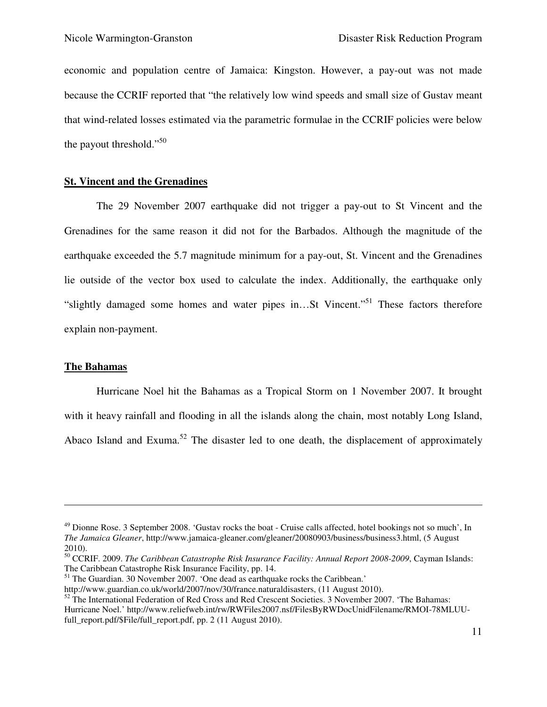economic and population centre of Jamaica: Kingston. However, a pay-out was not made because the CCRIF reported that "the relatively low wind speeds and small size of Gustav meant that wind-related losses estimated via the parametric formulae in the CCRIF policies were below the payout threshold."<sup>50</sup>

#### **St. Vincent and the Grenadines**

The 29 November 2007 earthquake did not trigger a pay-out to St Vincent and the Grenadines for the same reason it did not for the Barbados. Although the magnitude of the earthquake exceeded the 5.7 magnitude minimum for a pay-out, St. Vincent and the Grenadines lie outside of the vector box used to calculate the index. Additionally, the earthquake only "slightly damaged some homes and water pipes in…St Vincent."<sup>51</sup> These factors therefore explain non-payment.

#### **The Bahamas**

-

Hurricane Noel hit the Bahamas as a Tropical Storm on 1 November 2007. It brought with it heavy rainfall and flooding in all the islands along the chain, most notably Long Island, Abaco Island and Exuma.<sup>52</sup> The disaster led to one death, the displacement of approximately

 $49$  Dionne Rose. 3 September 2008. 'Gustav rocks the boat - Cruise calls affected, hotel bookings not so much', In *The Jamaica Gleaner*, http://www.jamaica-gleaner.com/gleaner/20080903/business/business3.html, (5 August 2010).

<sup>50</sup> CCRIF. 2009. *The Caribbean Catastrophe Risk Insurance Facility: Annual Report 2008-2009*, Cayman Islands: The Caribbean Catastrophe Risk Insurance Facility, pp. 14.

 $51$  The Guardian. 30 November 2007. 'One dead as earthquake rocks the Caribbean.'

http://www.guardian.co.uk/world/2007/nov/30/france.naturaldisasters, (11 August 2010).

<sup>&</sup>lt;sup>52</sup> The International Federation of Red Cross and Red Crescent Societies. 3 November 2007. 'The Bahamas: Hurricane Noel.' http://www.reliefweb.int/rw/RWFiles2007.nsf/FilesByRWDocUnidFilename/RMOI-78MLUUfull\_report.pdf/\$File/full\_report.pdf, pp. 2 (11 August 2010).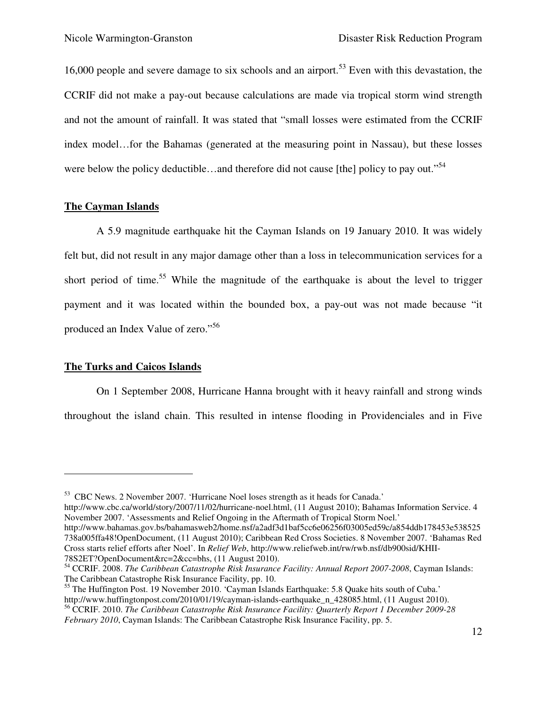16,000 people and severe damage to six schools and an airport.<sup>53</sup> Even with this devastation, the CCRIF did not make a pay-out because calculations are made via tropical storm wind strength and not the amount of rainfall. It was stated that "small losses were estimated from the CCRIF index model…for the Bahamas (generated at the measuring point in Nassau), but these losses were below the policy deductible…and therefore did not cause [the] policy to pay out."<sup>54</sup>

#### **The Cayman Islands**

A 5.9 magnitude earthquake hit the Cayman Islands on 19 January 2010. It was widely felt but, did not result in any major damage other than a loss in telecommunication services for a short period of time.<sup>55</sup> While the magnitude of the earthquake is about the level to trigger payment and it was located within the bounded box, a pay-out was not made because "it produced an Index Value of zero."<sup>56</sup>

#### **The Turks and Caicos Islands**

 $\overline{a}$ 

On 1 September 2008, Hurricane Hanna brought with it heavy rainfall and strong winds throughout the island chain. This resulted in intense flooding in Providenciales and in Five

http://www.cbc.ca/world/story/2007/11/02/hurricane-noel.html, (11 August 2010); Bahamas Information Service. 4 November 2007. 'Assessments and Relief Ongoing in the Aftermath of Tropical Storm Noel.'

<sup>53</sup> CBC News. 2 November 2007. 'Hurricane Noel loses strength as it heads for Canada.'

http://www.bahamas.gov.bs/bahamasweb2/home.nsf/a2adf3d1baf5cc6e06256f03005ed59c/a854ddb178453e538525 738a005ffa48!OpenDocument, (11 August 2010); Caribbean Red Cross Societies. 8 November 2007. 'Bahamas Red Cross starts relief efforts after Noel'. In *Relief Web*, http://www.reliefweb.int/rw/rwb.nsf/db900sid/KHII-78S2ET?OpenDocument&rc=2&cc=bhs, (11 August 2010).

<sup>54</sup> CCRIF. 2008. *The Caribbean Catastrophe Risk Insurance Facility: Annual Report 2007-2008*, Cayman Islands: The Caribbean Catastrophe Risk Insurance Facility, pp. 10.

<sup>&</sup>lt;sup>55</sup> The Huffington Post. 19 November 2010. 'Cayman Islands Earthquake: 5.8 Quake hits south of Cuba.' http://www.huffingtonpost.com/2010/01/19/cayman-islands-earthquake\_n\_428085.html, (11 August 2010).

<sup>56</sup> CCRIF. 2010. *The Caribbean Catastrophe Risk Insurance Facility: Quarterly Report 1 December 2009-28 February 2010*, Cayman Islands: The Caribbean Catastrophe Risk Insurance Facility, pp. 5.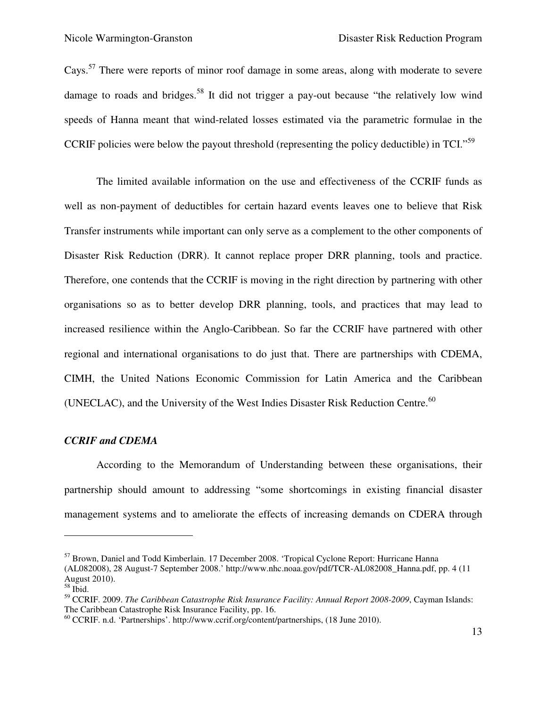Cays.<sup>57</sup> There were reports of minor roof damage in some areas, along with moderate to severe damage to roads and bridges.<sup>58</sup> It did not trigger a pay-out because "the relatively low wind speeds of Hanna meant that wind-related losses estimated via the parametric formulae in the CCRIF policies were below the payout threshold (representing the policy deductible) in TCI."<sup>59</sup>

The limited available information on the use and effectiveness of the CCRIF funds as well as non-payment of deductibles for certain hazard events leaves one to believe that Risk Transfer instruments while important can only serve as a complement to the other components of Disaster Risk Reduction (DRR). It cannot replace proper DRR planning, tools and practice. Therefore, one contends that the CCRIF is moving in the right direction by partnering with other organisations so as to better develop DRR planning, tools, and practices that may lead to increased resilience within the Anglo-Caribbean. So far the CCRIF have partnered with other regional and international organisations to do just that. There are partnerships with CDEMA, CIMH, the United Nations Economic Commission for Latin America and the Caribbean (UNECLAC), and the University of the West Indies Disaster Risk Reduction Centre.<sup>60</sup>

#### *CCRIF and CDEMA*

According to the Memorandum of Understanding between these organisations, their partnership should amount to addressing "some shortcomings in existing financial disaster management systems and to ameliorate the effects of increasing demands on CDERA through

-

<sup>57</sup> Brown, Daniel and Todd Kimberlain. 17 December 2008. 'Tropical Cyclone Report: Hurricane Hanna (AL082008), 28 August-7 September 2008.' http://www.nhc.noaa.gov/pdf/TCR-AL082008\_Hanna.pdf, pp. 4 (11 August 2010).

 $58$  Ibid.

<sup>59</sup> CCRIF. 2009. *The Caribbean Catastrophe Risk Insurance Facility: Annual Report 2008-2009*, Cayman Islands: The Caribbean Catastrophe Risk Insurance Facility, pp. 16.

<sup>60</sup> CCRIF. n.d. 'Partnerships'. http://www.ccrif.org/content/partnerships, (18 June 2010).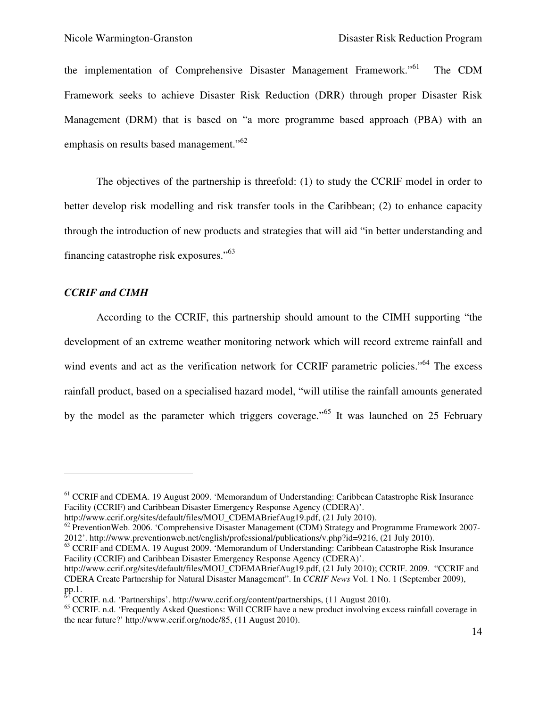the implementation of Comprehensive Disaster Management Framework."<sup>61</sup> The CDM Framework seeks to achieve Disaster Risk Reduction (DRR) through proper Disaster Risk Management (DRM) that is based on "a more programme based approach (PBA) with an emphasis on results based management."<sup>62</sup>

The objectives of the partnership is threefold: (1) to study the CCRIF model in order to better develop risk modelling and risk transfer tools in the Caribbean; (2) to enhance capacity through the introduction of new products and strategies that will aid "in better understanding and financing catastrophe risk exposures."<sup>63</sup>

#### *CCRIF and CIMH*

 $\overline{a}$ 

According to the CCRIF, this partnership should amount to the CIMH supporting "the development of an extreme weather monitoring network which will record extreme rainfall and wind events and act as the verification network for CCRIF parametric policies."<sup>64</sup> The excess rainfall product, based on a specialised hazard model, "will utilise the rainfall amounts generated by the model as the parameter which triggers coverage."<sup>65</sup> It was launched on 25 February

<sup>63</sup> CCRIF and CDEMA. 19 August 2009. 'Memorandum of Understanding: Caribbean Catastrophe Risk Insurance Facility (CCRIF) and Caribbean Disaster Emergency Response Agency (CDERA)'.

 $^{64}$  CCRIF. n.d. 'Partnerships'. http://www.ccrif.org/content/partnerships, (11 August 2010).

<sup>&</sup>lt;sup>61</sup> CCRIF and CDEMA. 19 August 2009. 'Memorandum of Understanding: Caribbean Catastrophe Risk Insurance Facility (CCRIF) and Caribbean Disaster Emergency Response Agency (CDERA)'.

http://www.ccrif.org/sites/default/files/MOU\_CDEMABriefAug19.pdf, (21 July 2010).

 $62$  PreventionWeb. 2006. 'Comprehensive Disaster Management (CDM) Strategy and Programme Framework 2007-2012'. http://www.preventionweb.net/english/professional/publications/v.php?id=9216, (21 July 2010).

http://www.ccrif.org/sites/default/files/MOU\_CDEMABriefAug19.pdf, (21 July 2010); CCRIF. 2009. "CCRIF and CDERA Create Partnership for Natural Disaster Management". In *CCRIF News* Vol. 1 No. 1 (September 2009), pp.1.

<sup>&</sup>lt;sup>65</sup> CCRIF. n.d. 'Frequently Asked Questions: Will CCRIF have a new product involving excess rainfall coverage in the near future?' http://www.ccrif.org/node/85, (11 August 2010).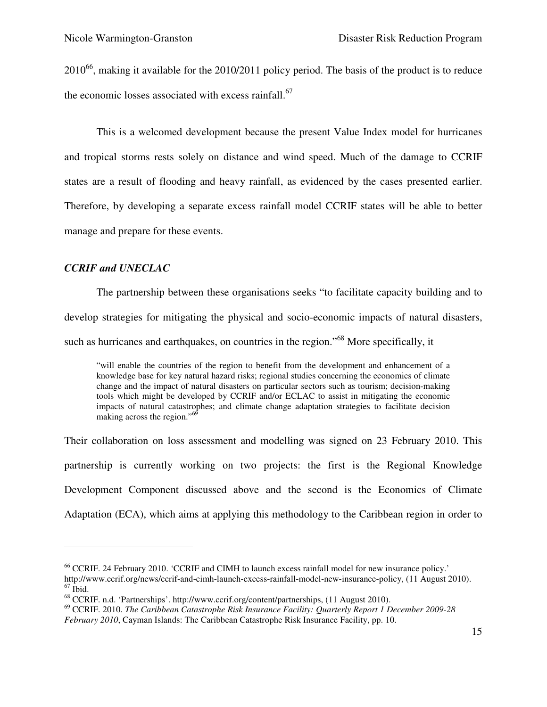$2010^{66}$ , making it available for the 2010/2011 policy period. The basis of the product is to reduce the economic losses associated with excess rainfall.<sup>67</sup>

This is a welcomed development because the present Value Index model for hurricanes and tropical storms rests solely on distance and wind speed. Much of the damage to CCRIF states are a result of flooding and heavy rainfall, as evidenced by the cases presented earlier. Therefore, by developing a separate excess rainfall model CCRIF states will be able to better manage and prepare for these events.

#### *CCRIF and UNECLAC*

<u>.</u>

The partnership between these organisations seeks "to facilitate capacity building and to develop strategies for mitigating the physical and socio-economic impacts of natural disasters, such as hurricanes and earthquakes, on countries in the region."<sup>68</sup> More specifically, it

"will enable the countries of the region to benefit from the development and enhancement of a knowledge base for key natural hazard risks; regional studies concerning the economics of climate change and the impact of natural disasters on particular sectors such as tourism; decision-making tools which might be developed by CCRIF and/or ECLAC to assist in mitigating the economic impacts of natural catastrophes; and climate change adaptation strategies to facilitate decision making across the region."<sup>69</sup>

Their collaboration on loss assessment and modelling was signed on 23 February 2010. This partnership is currently working on two projects: the first is the Regional Knowledge Development Component discussed above and the second is the Economics of Climate Adaptation (ECA), which aims at applying this methodology to the Caribbean region in order to

<sup>66</sup> CCRIF. 24 February 2010. 'CCRIF and CIMH to launch excess rainfall model for new insurance policy.'

http://www.ccrif.org/news/ccrif-and-cimh-launch-excess-rainfall-model-new-insurance-policy, (11 August 2010).  $67$  Ibid.

<sup>68</sup> CCRIF. n.d. 'Partnerships'. http://www.ccrif.org/content/partnerships, (11 August 2010).

<sup>69</sup> CCRIF. 2010. *The Caribbean Catastrophe Risk Insurance Facility: Quarterly Report 1 December 2009-28* 

*February 2010*, Cayman Islands: The Caribbean Catastrophe Risk Insurance Facility, pp. 10.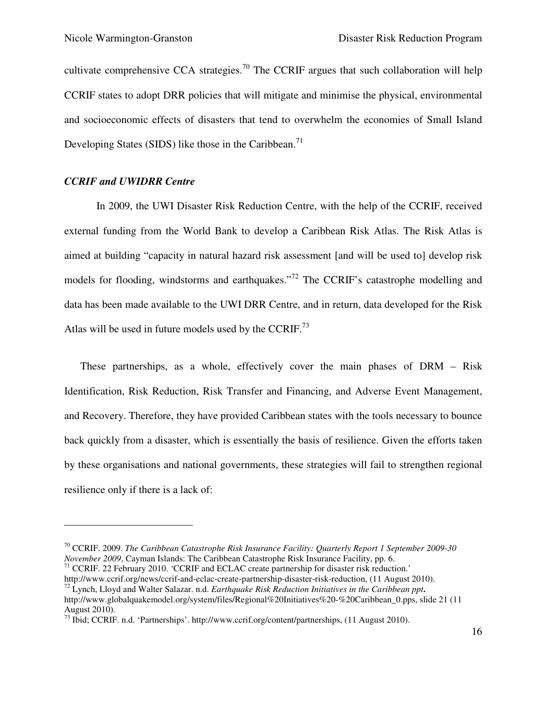cultivate comprehensive CCA strategies.<sup>70</sup> The CCRIF argues that such collaboration will help CCRIF states to adopt DRR policies that will mitigate and minimise the physical, environmental and socioeconomic effects of disasters that tend to overwhelm the economies of Small Island Developing States (SIDS) like those in the Caribbean.<sup>71</sup>

#### *CCRIF and UWIDRR Centre*

-

In 2009, the UWI Disaster Risk Reduction Centre, with the help of the CCRIF, received external funding from the World Bank to develop a Caribbean Risk Atlas. The Risk Atlas is aimed at building "capacity in natural hazard risk assessment [and will be used to] develop risk models for flooding, windstorms and earthquakes."<sup>72</sup> The CCRIF's catastrophe modelling and data has been made available to the UWI DRR Centre, and in return, data developed for the Risk Atlas will be used in future models used by the CCRIF.<sup>73</sup>

These partnerships, as a whole, effectively cover the main phases of DRM – Risk Identification, Risk Reduction, Risk Transfer and Financing, and Adverse Event Management, and Recovery. Therefore, they have provided Caribbean states with the tools necessary to bounce back quickly from a disaster, which is essentially the basis of resilience. Given the efforts taken by these organisations and national governments, these strategies will fail to strengthen regional resilience only if there is a lack of:

<sup>70</sup> CCRIF. 2009. *The Caribbean Catastrophe Risk Insurance Facility: Quarterly Report 1 September 2009-30 November 2009*, Cayman Islands: The Caribbean Catastrophe Risk Insurance Facility, pp. 6.

<sup>&</sup>lt;sup>71</sup> CCRIF. 22 February 2010. 'CCRIF and ECLAC create partnership for disaster risk reduction.'

http://www.ccrif.org/news/ccrif-and-eclac-create-partnership-disaster-risk-reduction, (11 August 2010).

<sup>72</sup> Lynch, Lloyd and Walter Salazar. n.d. *Earthquake Risk Reduction Initiatives in the Caribbean ppt***.**  http://www.globalquakemodel.org/system/files/Regional%20Initiatives%20-%20Caribbean 0.pps, slide 21 (11) August 2010).

<sup>&</sup>lt;sup>73</sup> Ibid; CCRIF. n.d. 'Partnerships'. http://www.ccrif.org/content/partnerships, (11 August 2010).